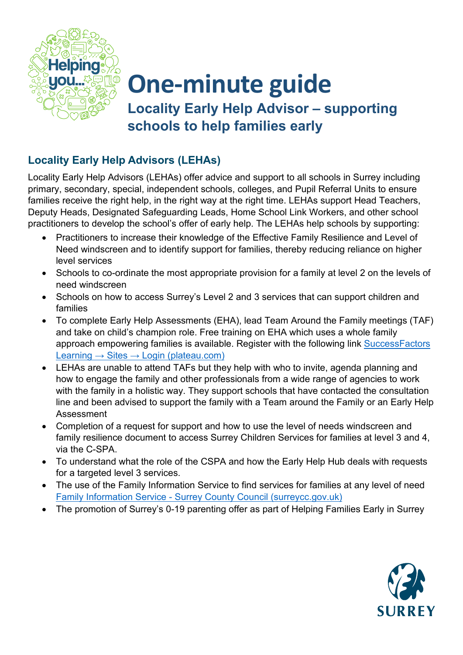

## **One-minute guide Locality Early Help Advisor – supporting schools to help families early**

## **Locality Early Help Advisors (LEHAs)**

Locality Early Help Advisors (LEHAs) offer advice and support to all schools in Surrey including primary, secondary, special, independent schools, colleges, and Pupil Referral Units to ensure families receive the right help, in the right way at the right time. LEHAs support Head Teachers, Deputy Heads, Designated Safeguarding Leads, Home School Link Workers, and other school practitioners to develop the school's offer of early help. The LEHAs help schools by supporting:

- Practitioners to increase their knowledge of the Effective Family Resilience and Level of Need windscreen and to identify support for families, thereby reducing reliance on higher level services
- Schools to co-ordinate the most appropriate provision for a family at level 2 on the levels of need windscreen
- Schools on how to access Surrey's Level 2 and 3 services that can support children and families
- To complete Early Help Assessments (EHA), lead Team Around the Family meetings (TAF) and take on child's champion role. Free training on EHA which uses a whole family approach empowering families is available. Register with the following link SuccessFactors Learning  $\rightarrow$  Sites  $\rightarrow$  Login (plateau.com)
- LEHAs are unable to attend TAFs but they help with who to invite, agenda planning and how to engage the family and other professionals from a wide range of agencies to work with the family in a holistic way. They support schools that have contacted the consultation line and been advised to support the family with a Team around the Family or an Early Help Assessment
- Completion of a request for support and how to use the level of needs windscreen and family resilience document to access Surrey Children Services for families at level 3 and 4, via the C-SPA.
- To understand what the role of the CSPA and how the Early Help Hub deals with requests for a targeted level 3 services.
- The use of the Family Information Service to find services for families at any level of need [Family Information Service - Surrey County Council \(surreycc.gov.uk\)](https://www.surreycc.gov.uk/people-and-community/families)
- The promotion of Surrey's 0-19 parenting offer as part of Helping Families Early in Surrey